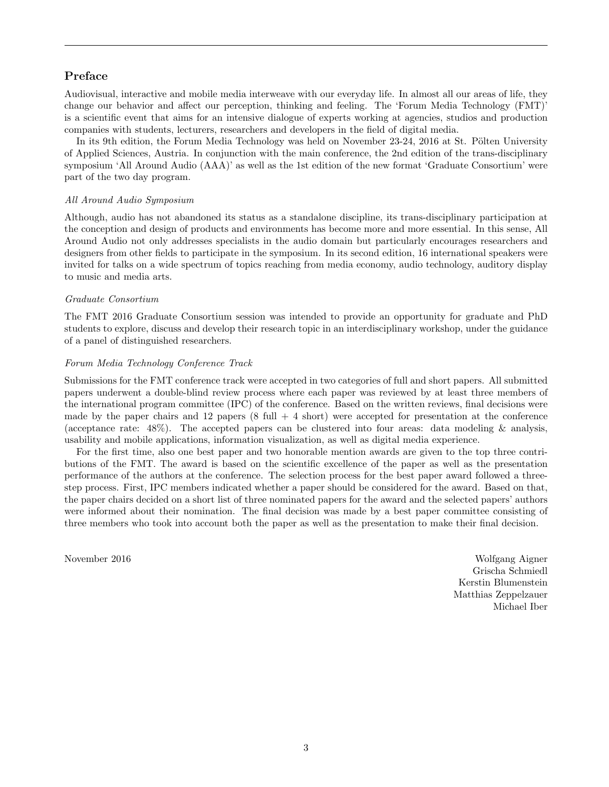# Preface

Audiovisual, interactive and mobile media interweave with our everyday life. In almost all our areas of life, they change our behavior and affect our perception, thinking and feeling. The 'Forum Media Technology (FMT)' is a scientific event that aims for an intensive dialogue of experts working at agencies, studios and production companies with students, lecturers, researchers and developers in the field of digital media.

In its 9th edition, the Forum Media Technology was held on November 23-24, 2016 at St. Pölten University of Applied Sciences, Austria. In conjunction with the main conference, the 2nd edition of the trans-disciplinary symposium 'All Around Audio (AAA)' as well as the 1st edition of the new format 'Graduate Consortium' were part of the two day program.

## *All Around Audio Symposium*

Although, audio has not abandoned its status as a standalone discipline, its trans-disciplinary participation at the conception and design of products and environments has become more and more essential. In this sense, All Around Audio not only addresses specialists in the audio domain but particularly encourages researchers and designers from other fields to participate in the symposium. In its second edition, 16 international speakers were invited for talks on a wide spectrum of topics reaching from media economy, audio technology, auditory display to music and media arts.

#### *Graduate Consortium*

The FMT 2016 Graduate Consortium session was intended to provide an opportunity for graduate and PhD students to explore, discuss and develop their research topic in an interdisciplinary workshop, under the guidance of a panel of distinguished researchers.

## *Forum Media Technology Conference Track*

Submissions for the FMT conference track were accepted in two categories of full and short papers. All submitted papers underwent a double-blind review process where each paper was reviewed by at least three members of the international program committee (IPC) of the conference. Based on the written reviews, final decisions were made by the paper chairs and 12 papers  $(8 \text{ full } + 4 \text{ short})$  were accepted for presentation at the conference (acceptance rate: 48%). The accepted papers can be clustered into four areas: data modeling & analysis, usability and mobile applications, information visualization, as well as digital media experience.

For the first time, also one best paper and two honorable mention awards are given to the top three contributions of the FMT. The award is based on the scientific excellence of the paper as well as the presentation performance of the authors at the conference. The selection process for the best paper award followed a threestep process. First, IPC members indicated whether a paper should be considered for the award. Based on that, the paper chairs decided on a short list of three nominated papers for the award and the selected papers' authors were informed about their nomination. The final decision was made by a best paper committee consisting of three members who took into account both the paper as well as the presentation to make their final decision.

November 2016 Wolfgang Aigner Grischa Schmiedl Kerstin Blumenstein Matthias Zeppelzauer Michael Iber